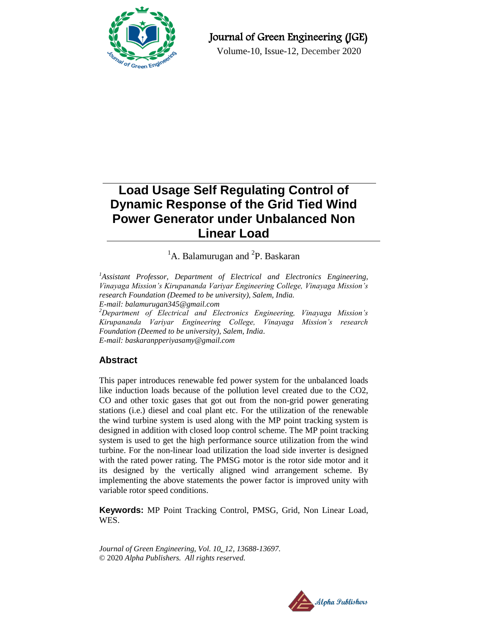

## Journal of Green Engineering (JGE)

Volume-10, Issue-12, December 2020

# **Load Usage Self Regulating Control of Dynamic Response of the Grid Tied Wind Power Generator under Unbalanced Non Linear Load**

## <sup>1</sup>A. Balamurugan and <sup>2</sup>P. Baskaran

<sup>1</sup>Assistant Professor, Department of Electrical and Electronics Engineering, *Vinayaga Mission's Kirupananda Variyar Engineering College, Vinayaga Mission's research Foundation (Deemed to be university), Salem, India. E-mail: [balamurugan345@gmail.com](mailto:balamurugan345@gmail.com)*

*<sup>2</sup>Department of Electrical and Electronics Engineering, Vinayaga Mission's Kirupananda Variyar Engineering College, Vinayaga Mission's research Foundation (Deemed to be university), Salem, India. E-mail: [baskaranpperiyasamy@gmail.com](mailto:baskaranpperiyasamy@gmail.com)*

## **Abstract**

This paper introduces renewable fed power system for the unbalanced loads like induction loads because of the pollution level created due to the CO2, CO and other toxic gases that got out from the non-grid power generating stations (i.e.) diesel and coal plant etc. For the utilization of the renewable the wind turbine system is used along with the MP point tracking system is designed in addition with closed loop control scheme. The MP point tracking system is used to get the high performance source utilization from the wind turbine. For the non-linear load utilization the load side inverter is designed with the rated power rating. The PMSG motor is the rotor side motor and it its designed by the vertically aligned wind arrangement scheme. By implementing the above statements the power factor is improved unity with variable rotor speed conditions.

**Keywords:** MP Point Tracking Control, PMSG, Grid, Non Linear Load, WES.

*Journal of Green Engineering, Vol. 10\_12, 13688-13697.* © 2020 *Alpha Publishers. All rights reserved.*

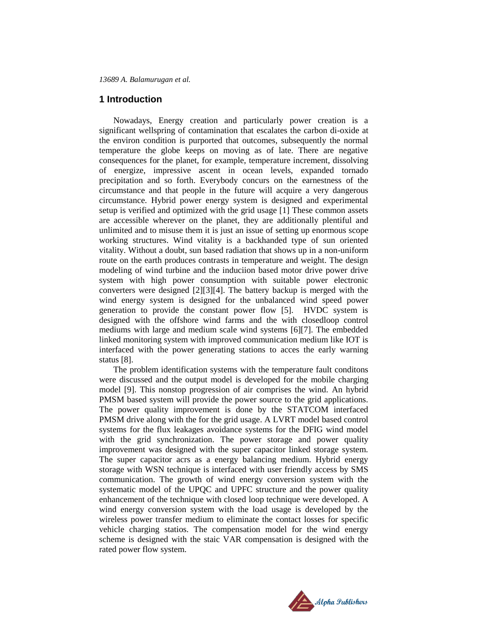## **1 Introduction**

Nowadays, Energy creation and particularly power creation is a significant wellspring of contamination that escalates the carbon di-oxide at the environ condition is purported that outcomes, subsequently the normal temperature the globe keeps on moving as of late. There are negative consequences for the planet, for example, temperature increment, dissolving of energize, impressive ascent in ocean levels, expanded tornado precipitation and so forth. Everybody concurs on the earnestness of the circumstance and that people in the future will acquire a very dangerous circumstance. Hybrid power energy system is designed and experimental setup is verified and optimized with the grid usage [1] These common assets are accessible wherever on the planet, they are additionally plentiful and unlimited and to misuse them it is just an issue of setting up enormous scope working structures. Wind vitality is a backhanded type of sun oriented vitality. Without a doubt, sun based radiation that shows up in a non-uniform route on the earth produces contrasts in temperature and weight. The design modeling of wind turbine and the induciion based motor drive power drive system with high power consumption with suitable power electronic converters were designed [2][3][4]. The battery backup is merged with the wind energy system is designed for the unbalanced wind speed power generation to provide the constant power flow [5]. HVDC system is designed with the offshore wind farms and the with closedloop control mediums with large and medium scale wind systems [6][7]. The embedded linked monitoring system with improved communication medium like IOT is interfaced with the power generating stations to acces the early warning status [8].

The problem identification systems with the temperature fault conditons were discussed and the output model is developed for the mobile charging model [9]. This nonstop progression of air comprises the wind. An hybrid PMSM based system will provide the power source to the grid applications. The power quality improvement is done by the STATCOM interfaced PMSM drive along with the for the grid usage. A LVRT model based control systems for the flux leakages avoidance systems for the DFIG wind model with the grid synchronization. The power storage and power quality improvement was designed with the super capacitor linked storage system. The super capacitor acrs as a energy balancing medium. Hybrid energy storage with WSN technique is interfaced with user friendly access by SMS communication. The growth of wind energy conversion system with the systematic model of the UPQC and UPFC structure and the power quality enhancement of the technique with closed loop technique were developed. A wind energy conversion system with the load usage is developed by the wireless power transfer medium to eliminate the contact losses for specific vehicle charging statios. The compensation model for the wind energy scheme is designed with the staic VAR compensation is designed with the rated power flow system.

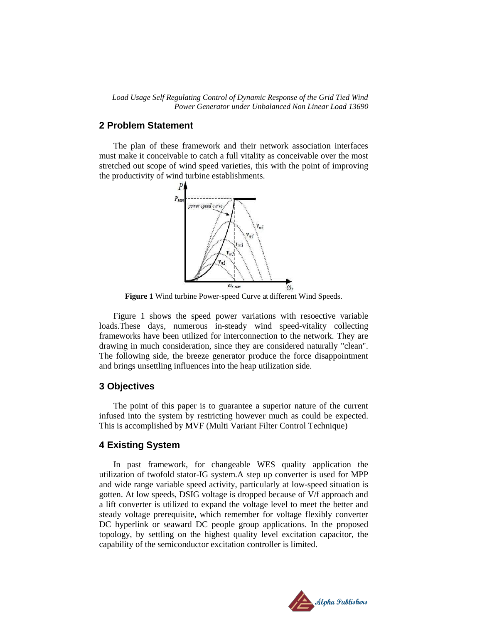*Load Usage Self Regulating Control of Dynamic Response of the Grid Tied Wind Power Generator under Unbalanced Non Linear Load 13690*

## **2 Problem Statement**

The plan of these framework and their network association interfaces must make it conceivable to catch a full vitality as conceivable over the most stretched out scope of wind speed varieties, this with the point of improving the productivity of wind turbine establishments.



**Figure 1** Wind turbine Power-speed Curve at different Wind Speeds.

Figure 1 shows the speed power variations with resoective variable loads.These days, numerous in-steady wind speed-vitality collecting frameworks have been utilized for interconnection to the network. They are drawing in much consideration, since they are considered naturally "clean". The following side, the breeze generator produce the force disappointment and brings unsettling influences into the heap utilization side.

## **3 Objectives**

The point of this paper is to guarantee a superior nature of the current infused into the system by restricting however much as could be expected. This is accomplished by MVF (Multi Variant Filter Control Technique)

## **4 Existing System**

In past framework, for changeable WES quality application the utilization of twofold stator-IG system.A step up converter is used for MPP and wide range variable speed activity, particularly at low-speed situation is gotten. At low speeds, DSIG voltage is dropped because of V/f approach and a lift converter is utilized to expand the voltage level to meet the better and steady voltage prerequisite, which remember for voltage flexibly converter DC hyperlink or seaward DC people group applications. In the proposed topology, by settling on the highest quality level excitation capacitor, the capability of the semiconductor excitation controller is limited.

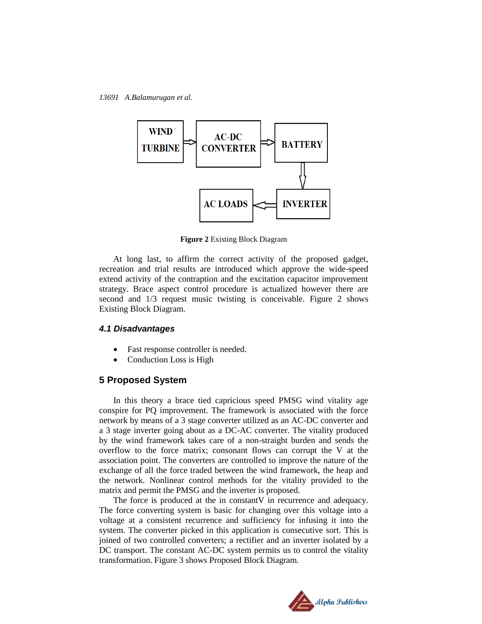

**Figure 2** Existing Block Diagram

At long last, to affirm the correct activity of the proposed gadget, recreation and trial results are introduced which approve the wide-speed extend activity of the contraption and the excitation capacitor improvement strategy. Brace aspect control procedure is actualized however there are second and 1/3 request music twisting is conceivable. Figure 2 shows Existing Block Diagram.

## *4.1 Disadvantages*

- Fast response controller is needed.
- Conduction Loss is High

#### **5 Proposed System**

In this theory a brace tied capricious speed PMSG wind vitality age conspire for PQ improvement. The framework is associated with the force network by means of a 3 stage converter utilized as an AC-DC converter and a 3 stage inverter going about as a DC-AC converter. The vitality produced by the wind framework takes care of a non-straight burden and sends the overflow to the force matrix; consonant flows can corrupt the V at the association point. The converters are controlled to improve the nature of the exchange of all the force traded between the wind framework, the heap and the network. Nonlinear control methods for the vitality provided to the matrix and permit the PMSG and the inverter is proposed.

The force is produced at the in constant V in recurrence and adequacy. The force converting system is basic for changing over this voltage into a voltage at a consistent recurrence and sufficiency for infusing it into the system. The converter picked in this application is consecutive sort. This is joined of two controlled converters; a rectifier and an inverter isolated by a DC transport. The constant AC-DC system permits us to control the vitality transformation. Figure 3 shows Proposed Block Diagram.

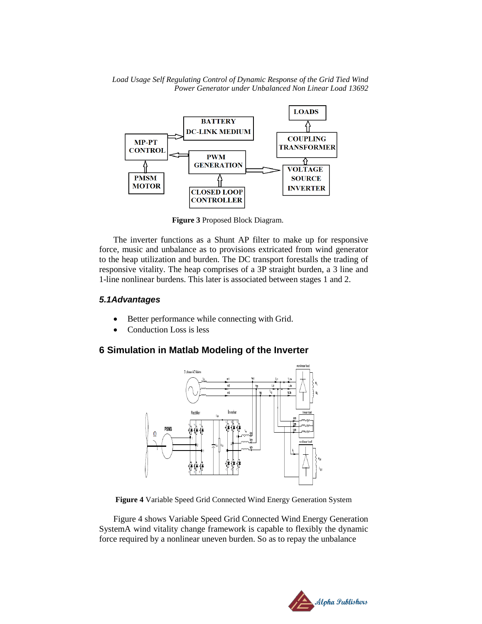*Load Usage Self Regulating Control of Dynamic Response of the Grid Tied Wind Power Generator under Unbalanced Non Linear Load 13692*



 **Figure 3** Proposed Block Diagram.

The inverter functions as a Shunt AP filter to make up for responsive force, music and unbalance as to provisions extricated from wind generator to the heap utilization and burden. The DC transport forestalls the trading of responsive vitality. The heap comprises of a 3P straight burden, a 3 line and 1-line nonlinear burdens. This later is associated between stages 1 and 2.

## *5.1Advantages*

- Better performance while connecting with Grid.
- Conduction Loss is less

## **6 Simulation in Matlab Modeling of the Inverter**



**Figure 4** Variable Speed Grid Connected Wind Energy Generation System

Figure 4 shows Variable Speed Grid Connected Wind Energy Generation SystemA wind vitality change framework is capable to flexibly the dynamic force required by a nonlinear uneven burden. So as to repay the unbalance

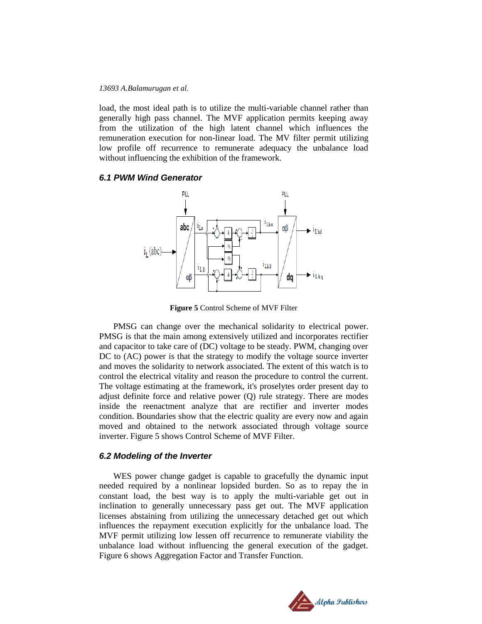load, the most ideal path is to utilize the multi-variable channel rather than generally high pass channel. The MVF application permits keeping away from the utilization of the high latent channel which influences the remuneration execution for non-linear load. The MV filter permit utilizing low profile off recurrence to remunerate adequacy the unbalance load without influencing the exhibition of the framework.

#### *6.1 PWM Wind Generator*



**Figure 5** Control Scheme of MVF Filter

PMSG can change over the mechanical solidarity to electrical power. PMSG is that the main among extensively utilized and incorporates rectifier and capacitor to take care of (DC) voltage to be steady. PWM, changing over DC to (AC) power is that the strategy to modify the voltage source inverter and moves the solidarity to network associated. The extent of this watch is to control the electrical vitality and reason the procedure to control the current. The voltage estimating at the framework, it's proselytes order present day to adjust definite force and relative power (Q) rule strategy. There are modes inside the reenactment analyze that are rectifier and inverter modes condition. Boundaries show that the electric quality are every now and again moved and obtained to the network associated through voltage source inverter. Figure 5 shows Control Scheme of MVF Filter.

## *6.2 Modeling of the Inverter*

WES power change gadget is capable to gracefully the dynamic input needed required by a nonlinear lopsided burden. So as to repay the in constant load, the best way is to apply the multi-variable get out in inclination to generally unnecessary pass get out. The MVF application licenses abstaining from utilizing the unnecessary detached get out which influences the repayment execution explicitly for the unbalance load. The MVF permit utilizing low lessen off recurrence to remunerate viability the unbalance load without influencing the general execution of the gadget. Figure 6 shows Aggregation Factor and Transfer Function.

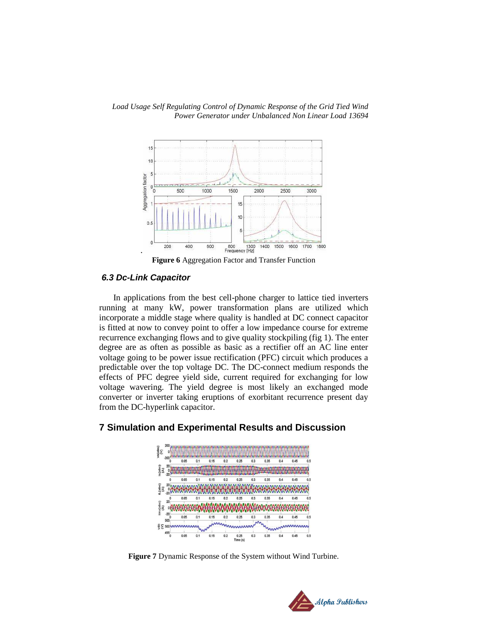

*Load Usage Self Regulating Control of Dynamic Response of the Grid Tied Wind Power Generator under Unbalanced Non Linear Load 13694*

**Figure 6** Aggregation Factor and Transfer Function

## *6.3 Dc-Link Capacitor*

.

In applications from the best cell-phone charger to lattice tied inverters running at many kW, power transformation plans are utilized which incorporate a middle stage where quality is handled at DC connect capacitor is fitted at now to convey point to offer a low impedance course for extreme recurrence exchanging flows and to give quality stockpiling (fig 1). The enter degree are as often as possible as basic as a rectifier off an AC line enter voltage going to be power issue rectification (PFC) circuit which produces a predictable over the top voltage DC. The DC-connect medium responds the effects of PFC degree yield side, current required for exchanging for low voltage wavering. The yield degree is most likely an exchanged mode converter or inverter taking eruptions of exorbitant recurrence present day from the DC-hyperlink capacitor.

## **7 Simulation and Experimental Results and Discussion**



**Figure 7** Dynamic Response of the System without Wind Turbine.

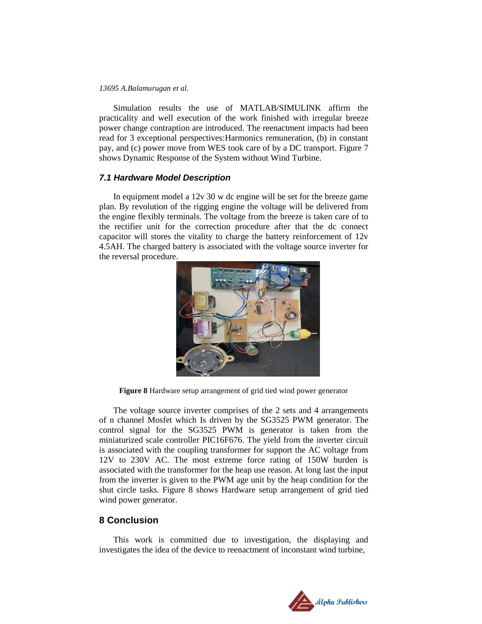Simulation results the use of MATLAB/SIMULINK affirm the practicality and well execution of the work finished with irregular breeze power change contraption are introduced. The reenactment impacts had been read for 3 exceptional perspectives:Harmonics remuneration, (b) in constant pay, and (c) power move from WES took care of by a DC transport. Figure 7 shows Dynamic Response of the System without Wind Turbine.

## *7.1 Hardware Model Description*

In equipment model a 12v 30 w dc engine will be set for the breeze game plan. By revolution of the rigging engine the voltage will be delivered from the engine flexibly terminals. The voltage from the breeze is taken care of to the rectifier unit for the correction procedure after that the dc connect capacitor will stores the vitality to charge the battery reinforcement of 12v 4.5AH. The charged battery is associated with the voltage source inverter for the reversal procedure.



**Figure 8** Hardware setup arrangement of grid tied wind power generator

The voltage source inverter comprises of the 2 sets and 4 arrangements of n channel Mosfet which Is driven by the SG3525 PWM generator. The control signal for the SG3525 PWM is generator is taken from the miniaturized scale controller PIC16F676. The yield from the inverter circuit is associated with the coupling transformer for support the AC voltage from 12V to 230V AC. The most extreme force rating of 150W burden is associated with the transformer for the heap use reason. At long last the input from the inverter is given to the PWM age unit by the heap condition for the shut circle tasks. Figure 8 shows Hardware setup arrangement of grid tied wind power generator.

## **8 Conclusion**

This work is committed due to investigation, the displaying and investigates the idea of the device to reenactment of inconstant wind turbine,

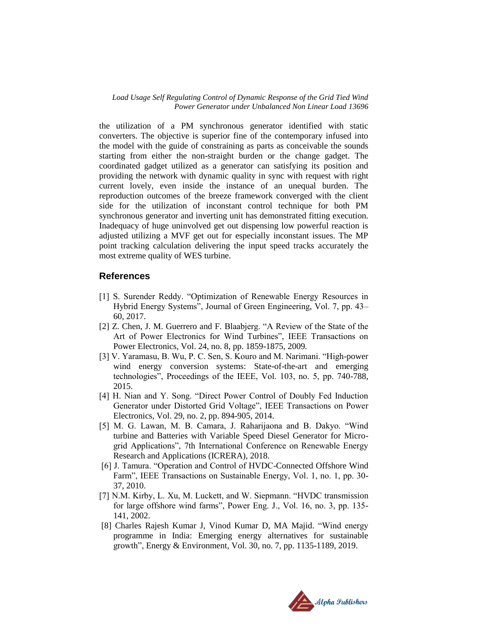*Load Usage Self Regulating Control of Dynamic Response of the Grid Tied Wind Power Generator under Unbalanced Non Linear Load 13696*

the utilization of a PM synchronous generator identified with static converters. The objective is superior fine of the contemporary infused into the model with the guide of constraining as parts as conceivable the sounds starting from either the non-straight burden or the change gadget. The coordinated gadget utilized as a generator can satisfying its position and providing the network with dynamic quality in sync with request with right current lovely, even inside the instance of an unequal burden. The reproduction outcomes of the breeze framework converged with the client side for the utilization of inconstant control technique for both PM synchronous generator and inverting unit has demonstrated fitting execution. Inadequacy of huge uninvolved get out dispensing low powerful reaction is adjusted utilizing a MVF get out for especially inconstant issues. The MP point tracking calculation delivering the input speed tracks accurately the most extreme quality of WES turbine.

## **References**

- [1] S. Surender Reddy. "Optimization of Renewable Energy Resources in Hybrid Energy Systems", Journal of Green Engineering, Vol. 7, pp. 43– 60, 2017.
- [2] Z. Chen, J. M. Guerrero and F. Blaabjerg. "A Review of the State of the Art of Power Electronics for Wind Turbines", IEEE Transactions on Power Electronics, Vol. 24, no. 8, pp. 1859-1875, 2009.
- [3] V. Yaramasu, B. Wu, P. C. Sen, S. Kouro and M. Narimani. "High-power wind energy conversion systems: State-of-the-art and emerging technologies", Proceedings of the IEEE, Vol. 103, no. 5, pp. 740-788, 2015.
- [4] H. Nian and Y. Song. "Direct Power Control of Doubly Fed Induction Generator under Distorted Grid Voltage", IEEE Transactions on Power Electronics, Vol. 29, no. 2, pp. 894-905, 2014.
- [5] M. G. Lawan, M. B. Camara, J. Raharijaona and B. Dakyo. "Wind turbine and Batteries with Variable Speed Diesel Generator for Microgrid Applications", 7th International Conference on Renewable Energy Research and Applications (ICRERA), 2018.
- [6] J. Tamura. "Operation and Control of HVDC-Connected Offshore Wind Farm", IEEE Transactions on Sustainable Energy, Vol. 1, no. 1, pp. 30- 37, 2010.
- [7] N.M. Kirby, L. Xu, M. Luckett, and W. Siepmann. "HVDC transmission for large offshore wind farms", Power Eng. J., Vol. 16, no. 3, pp. 135- 141, 2002.
- [8] Charles Rajesh Kumar J, Vinod Kumar D, MA Majid. "Wind energy programme in India: Emerging energy alternatives for sustainable growth", Energy & Environment, Vol. 30, no. 7, pp. 1135-1189, 2019.